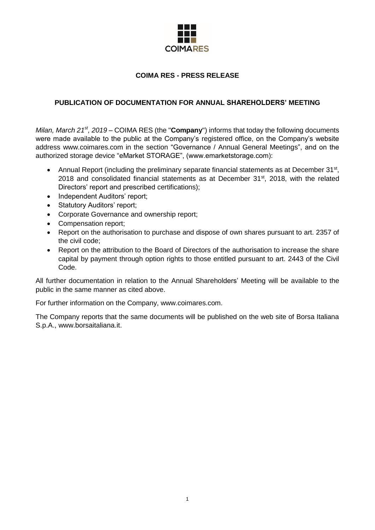

# **COIMA RES - PRESS RELEASE**

# **PUBLICATION OF DOCUMENTATION FOR ANNUAL SHAREHOLDERS' MEETING**

*Milan, March 21<sup>st</sup>, 2019* – COIMA RES (the "**Company**") informs that today the following documents were made available to the public at the Company's registered office, on the Company's website address www.coimares.com in the section "Governance / Annual General Meetings", and on the authorized storage device "eMarket STORAGE", (www.emarketstorage.com):

- Annual Report (including the preliminary separate financial statements as at December 31<sup>st</sup>, 2018 and consolidated financial statements as at December  $31<sup>st</sup>$ , 2018, with the related Directors' report and prescribed certifications);
- Independent Auditors' report;
- Statutory Auditors' report;
- Corporate Governance and ownership report;
- Compensation report;
- Report on the authorisation to purchase and dispose of own shares pursuant to art. 2357 of the civil code;
- Report on the attribution to the Board of Directors of the authorisation to increase the share capital by payment through option rights to those entitled pursuant to art. 2443 of the Civil Code.

All further documentation in relation to the Annual Shareholders' Meeting will be available to the public in the same manner as cited above.

For further information on the Company, www.coimares.com.

The Company reports that the same documents will be published on the web site of Borsa Italiana S.p.A., www.borsaitaliana.it.